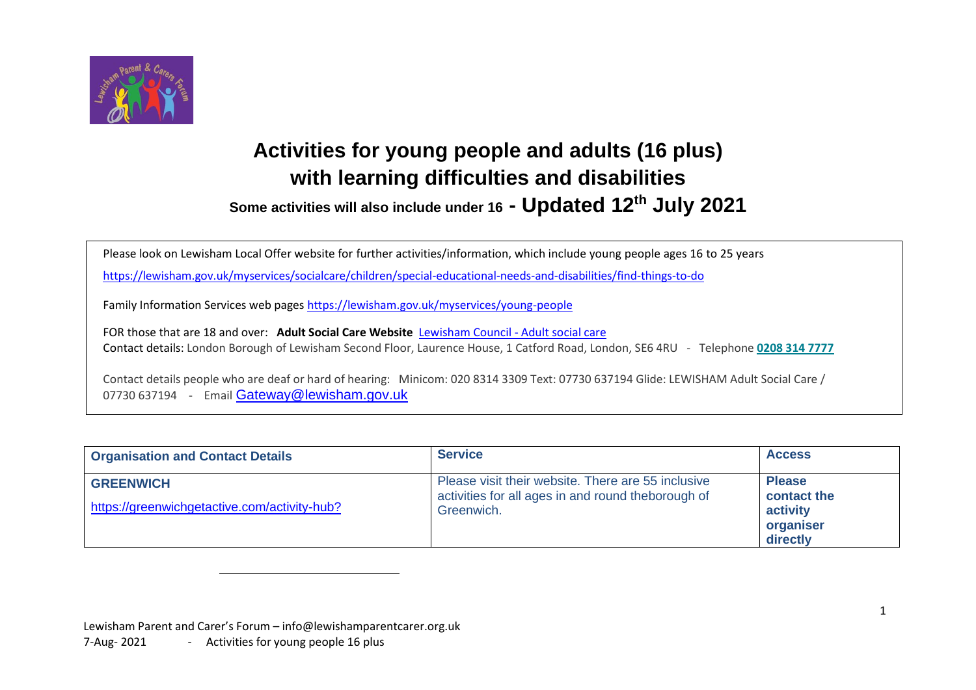

## **Activities for young people and adults (16 plus) with learning difficulties and disabilities**

**Some activities will also include under 16 - Updated 12 th July 2021**

Please look on Lewisham Local Offer website for further activities/information, which include young people ages 16 to 25 years

<https://lewisham.gov.uk/myservices/socialcare/children/special-educational-needs-and-disabilities/find-things-to-do>

Family Information Services web pages <https://lewisham.gov.uk/myservices/young-people>

FOR those that are 18 and over: **Adult Social Care Website** [Lewisham Council -](https://lewisham.gov.uk/myservices/socialcare/adult/) Adult social care Contact details: London Borough of Lewisham Second Floor, Laurence House, 1 Catford Road, London, SE6 4RU - Telephone **[0208 314 7777](tel:0208%20314%207777)**

Contact details people who are deaf or hard of hearing: Minicom: 020 8314 3309 Text: 07730 637194 Glide: LEWISHAM Adult Social Care / 07730 637194 - Email [Gateway@lewisham.gov.uk](mailto:Gateway@lewisham.gov.uk)

| <b>Organisation and Contact Details</b>                          | <b>Service</b>                                                                                                         | <b>Access</b>                                                     |
|------------------------------------------------------------------|------------------------------------------------------------------------------------------------------------------------|-------------------------------------------------------------------|
| <b>GREENWICH</b><br>https://greenwichgetactive.com/activity-hub? | Please visit their website. There are 55 inclusive<br>activities for all ages in and round theborough of<br>Greenwich. | <b>Please</b><br>contact the<br>activity<br>organiser<br>directly |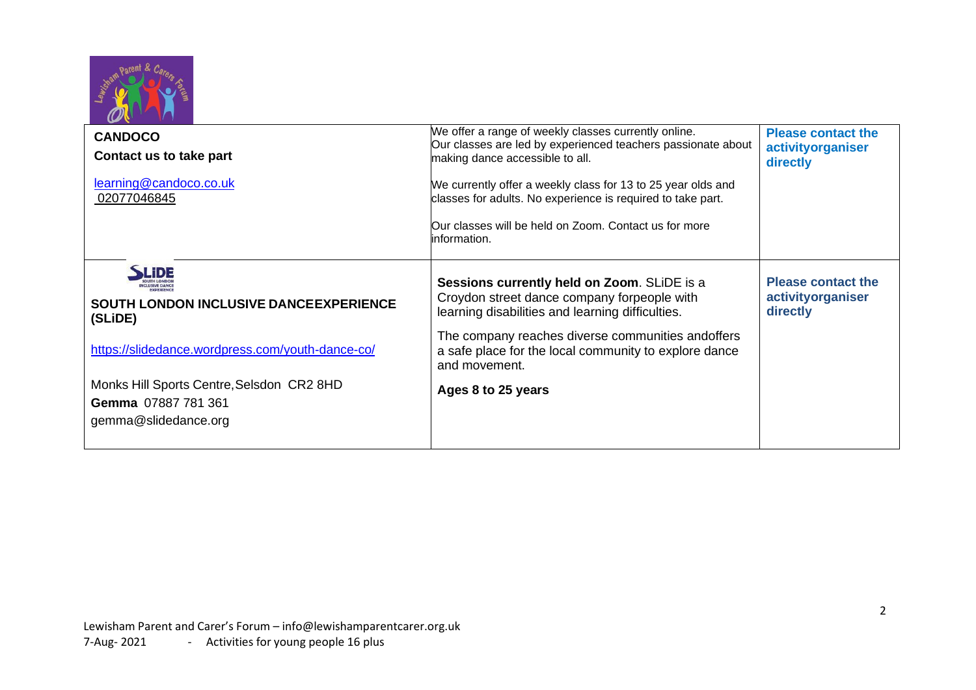

| <b>CANDOCO</b><br>Contact us to take part<br>learning@candoco.co.uk<br>02077046845       | We offer a range of weekly classes currently online.<br>Our classes are led by experienced teachers passionate about<br>making dance accessible to all.<br>We currently offer a weekly class for 13 to 25 year olds and<br>classes for adults. No experience is required to take part.<br>Our classes will be held on Zoom. Contact us for more<br>linformation. | <b>Please contact the</b><br>activityorganiser<br>directly |
|------------------------------------------------------------------------------------------|------------------------------------------------------------------------------------------------------------------------------------------------------------------------------------------------------------------------------------------------------------------------------------------------------------------------------------------------------------------|------------------------------------------------------------|
| <b>SOUTH LONDON INCLUSIVE DANCE EXPERIENCE</b><br>(SLIDE)                                | Sessions currently held on Zoom. SLIDE is a<br>Croydon street dance company forpeople with<br>learning disabilities and learning difficulties.                                                                                                                                                                                                                   | <b>Please contact the</b><br>activityorganiser<br>directly |
| https://slidedance.wordpress.com/youth-dance-co/                                         | The company reaches diverse communities and offers<br>a safe place for the local community to explore dance<br>and movement.                                                                                                                                                                                                                                     |                                                            |
| Monks Hill Sports Centre, Selsdon CR2 8HD<br>Gemma 07887 781 361<br>gemma@slidedance.org | Ages 8 to 25 years                                                                                                                                                                                                                                                                                                                                               |                                                            |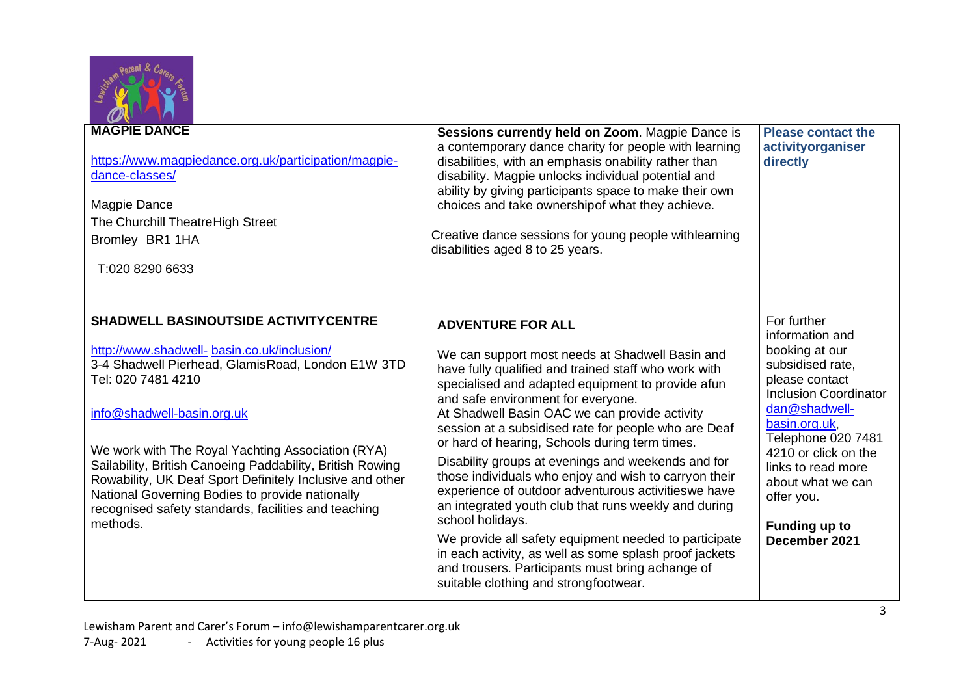

| <b>MAGPIE DANCE</b><br>https://www.magpiedance.org.uk/participation/magpie-<br>dance-classes/<br>Magpie Dance<br>The Churchill TheatreHigh Street<br>Bromley BR1 1HA<br>T:020 8290 6633                                                                                                                                                                                                                                                                                                                  | Sessions currently held on Zoom. Magpie Dance is<br>a contemporary dance charity for people with learning<br>disabilities, with an emphasis onability rather than<br>disability. Magpie unlocks individual potential and<br>ability by giving participants space to make their own<br>choices and take ownershipof what they achieve.<br>Creative dance sessions for young people withlearning<br>disabilities aged 8 to 25 years.                                                                                                                                                                                                                                                                                                                                                                                                                           | <b>Please contact the</b><br>activityorganiser<br>directly                                                                                                                                                                                                                                        |
|----------------------------------------------------------------------------------------------------------------------------------------------------------------------------------------------------------------------------------------------------------------------------------------------------------------------------------------------------------------------------------------------------------------------------------------------------------------------------------------------------------|--------------------------------------------------------------------------------------------------------------------------------------------------------------------------------------------------------------------------------------------------------------------------------------------------------------------------------------------------------------------------------------------------------------------------------------------------------------------------------------------------------------------------------------------------------------------------------------------------------------------------------------------------------------------------------------------------------------------------------------------------------------------------------------------------------------------------------------------------------------|---------------------------------------------------------------------------------------------------------------------------------------------------------------------------------------------------------------------------------------------------------------------------------------------------|
| <b>SHADWELL BASINOUTSIDE ACTIVITYCENTRE</b><br>http://www.shadwell-basin.co.uk/inclusion/<br>3-4 Shadwell Pierhead, Glamis Road, London E1W 3TD<br>Tel: 020 7481 4210<br>info@shadwell-basin.org.uk<br>We work with The Royal Yachting Association (RYA)<br>Sailability, British Canoeing Paddability, British Rowing<br>Rowability, UK Deaf Sport Definitely Inclusive and other<br>National Governing Bodies to provide nationally<br>recognised safety standards, facilities and teaching<br>methods. | <b>ADVENTURE FOR ALL</b><br>We can support most needs at Shadwell Basin and<br>have fully qualified and trained staff who work with<br>specialised and adapted equipment to provide afun<br>and safe environment for everyone.<br>At Shadwell Basin OAC we can provide activity<br>session at a subsidised rate for people who are Deaf<br>or hard of hearing, Schools during term times.<br>Disability groups at evenings and weekends and for<br>those individuals who enjoy and wish to carryon their<br>experience of outdoor adventurous activities we have<br>an integrated youth club that runs weekly and during<br>school holidays.<br>We provide all safety equipment needed to participate<br>in each activity, as well as some splash proof jackets<br>and trousers. Participants must bring achange of<br>suitable clothing and strongfootwear. | For further<br>information and<br>booking at our<br>subsidised rate,<br>please contact<br><b>Inclusion Coordinator</b><br>dan@shadwell-<br>basin.org.uk,<br>Telephone 020 7481<br>4210 or click on the<br>links to read more<br>about what we can<br>offer you.<br>Funding up to<br>December 2021 |

Lewisham Parent and Carer's Forum – [info@lewishamparentcarer.org.uk](mailto:info@lewishamparentcarer.org.uk) 7-Aug- 2021 - Activities for young people 16 plus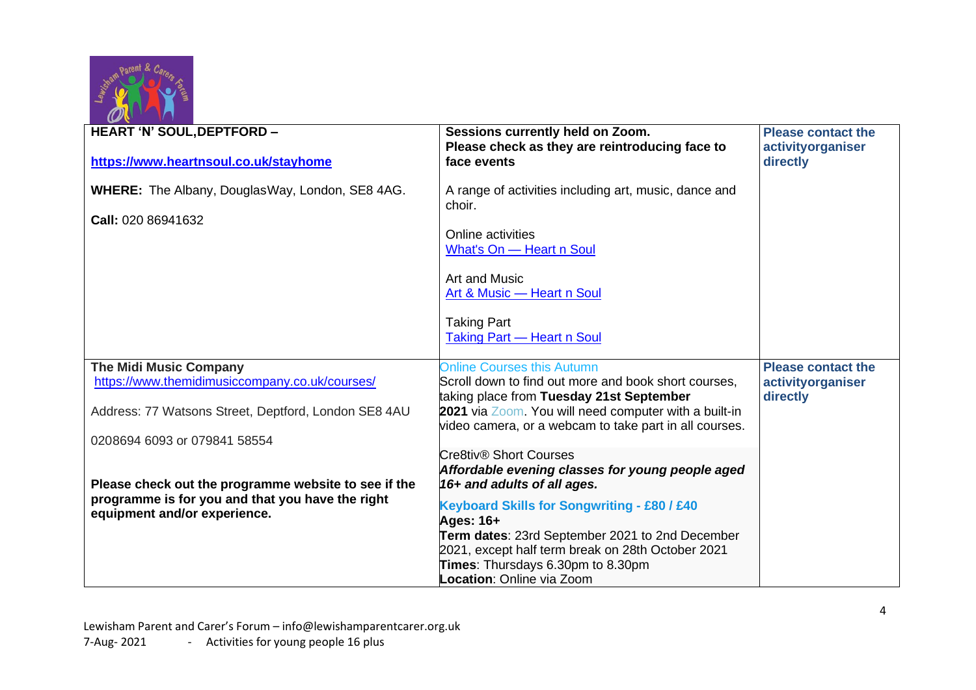

| <b>HEART 'N' SOUL, DEPTFORD -</b>                                                                        | Sessions currently held on Zoom.<br>Please check as they are reintroducing face to               | <b>Please contact the</b><br>activityorganiser |
|----------------------------------------------------------------------------------------------------------|--------------------------------------------------------------------------------------------------|------------------------------------------------|
| https://www.heartnsoul.co.uk/stayhome                                                                    | face events                                                                                      | directly                                       |
| <b>WHERE:</b> The Albany, Douglas Way, London, SE8 4AG.                                                  | A range of activities including art, music, dance and                                            |                                                |
| Call: 020 86941632                                                                                       | choir.                                                                                           |                                                |
|                                                                                                          | Online activities<br>What's On - Heart n Soul                                                    |                                                |
|                                                                                                          |                                                                                                  |                                                |
|                                                                                                          | Art and Music                                                                                    |                                                |
|                                                                                                          | Art & Music - Heart n Soul                                                                       |                                                |
|                                                                                                          | <b>Taking Part</b>                                                                               |                                                |
|                                                                                                          | <b>Taking Part - Heart n Soul</b>                                                                |                                                |
|                                                                                                          |                                                                                                  |                                                |
| <b>The Midi Music Company</b>                                                                            | <b>Online Courses this Autumn</b>                                                                | <b>Please contact the</b>                      |
| https://www.themidimusiccompany.co.uk/courses/                                                           | Scroll down to find out more and book short courses,<br>taking place from Tuesday 21st September | activityorganiser                              |
| Address: 77 Watsons Street, Deptford, London SE8 4AU                                                     | 2021 via Zoom. You will need computer with a built-in                                            | directly                                       |
|                                                                                                          | video camera, or a webcam to take part in all courses.                                           |                                                |
| 0208694 6093 or 079841 58554                                                                             |                                                                                                  |                                                |
|                                                                                                          | Cre8tiv® Short Courses                                                                           |                                                |
|                                                                                                          | Affordable evening classes for young people aged                                                 |                                                |
| Please check out the programme website to see if the<br>programme is for you and that you have the right | 16+ and adults of all ages.                                                                      |                                                |
| equipment and/or experience.                                                                             | <b>Keyboard Skills for Songwriting - £80 / £40</b>                                               |                                                |
|                                                                                                          | Ages: 16+                                                                                        |                                                |
|                                                                                                          | Term dates: 23rd September 2021 to 2nd December                                                  |                                                |
|                                                                                                          | 2021, except half term break on 28th October 2021<br>Times: Thursdays 6.30pm to 8.30pm           |                                                |
|                                                                                                          | <b>Location: Online via Zoom</b>                                                                 |                                                |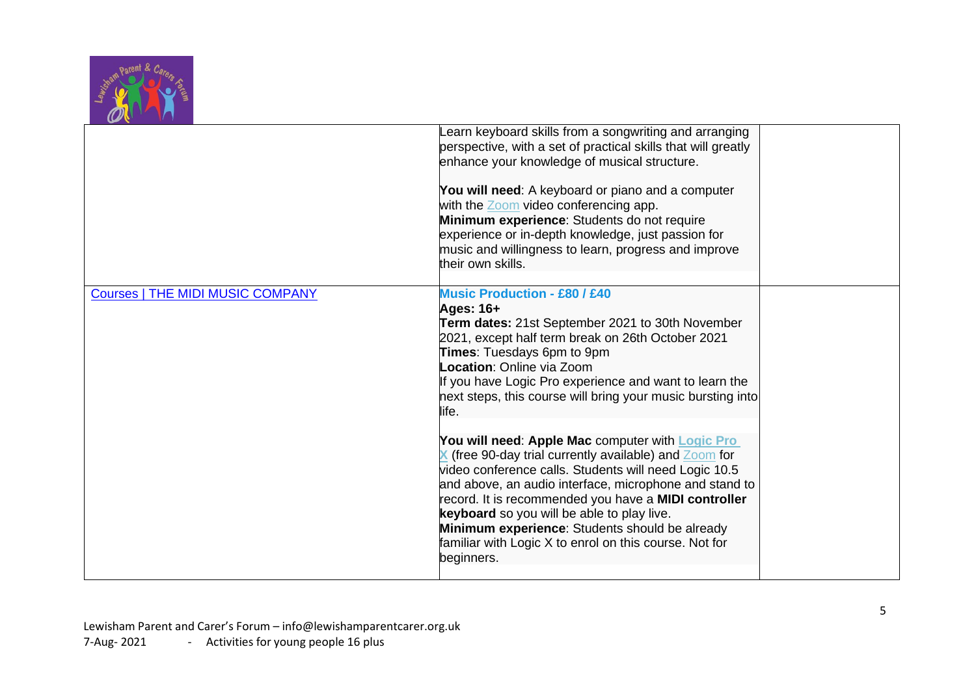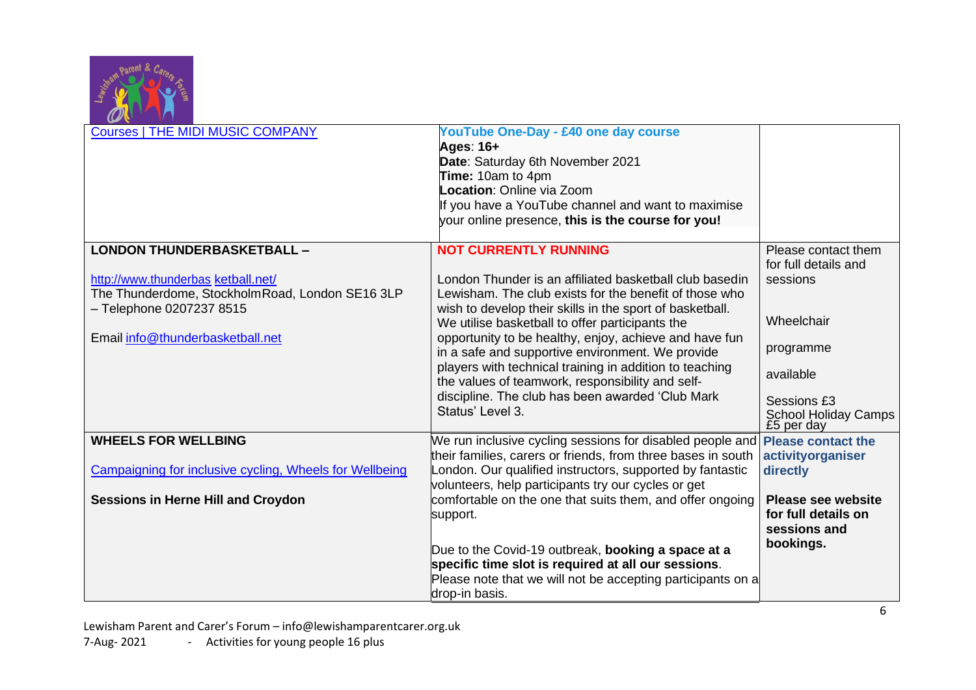

| <b>Courses   THE MIDI MUSIC COMPANY</b>                                                                           | YouTube One-Day - £40 one day course<br>Ages: 16+<br>Date: Saturday 6th November 2021<br>Time: 10am to 4pm<br>Location: Online via Zoom<br>If you have a YouTube channel and want to maximise<br>your online presence, this is the course for you! |                                                                  |
|-------------------------------------------------------------------------------------------------------------------|----------------------------------------------------------------------------------------------------------------------------------------------------------------------------------------------------------------------------------------------------|------------------------------------------------------------------|
| <b>LONDON THUNDERBASKETBALL -</b>                                                                                 | <b>NOT CURRENTLY RUNNING</b>                                                                                                                                                                                                                       | Please contact them<br>for full details and                      |
| http://www.thunderbas ketball.net/<br>The Thunderdome, StockholmRoad, London SE16 3LP<br>- Telephone 0207237 8515 | London Thunder is an affiliated basketball club basedin<br>Lewisham. The club exists for the benefit of those who<br>wish to develop their skills in the sport of basketball.                                                                      | sessions                                                         |
| Email info@thunderbasketball.net                                                                                  | We utilise basketball to offer participants the<br>opportunity to be healthy, enjoy, achieve and have fun<br>in a safe and supportive environment. We provide                                                                                      | Wheelchair<br>programme                                          |
|                                                                                                                   | players with technical training in addition to teaching<br>the values of teamwork, responsibility and self-                                                                                                                                        | available                                                        |
|                                                                                                                   | discipline. The club has been awarded 'Club Mark<br>Status' Level 3.                                                                                                                                                                               | Sessions £3<br><b>School Holiday Camps</b><br>£5 per day         |
| <b>WHEELS FOR WELLBING</b>                                                                                        | We run inclusive cycling sessions for disabled people and <b>Please contact the</b><br>their families, carers or friends, from three bases in south                                                                                                | activityorganiser                                                |
| Campaigning for inclusive cycling, Wheels for Wellbeing                                                           | London. Our qualified instructors, supported by fantastic<br>volunteers, help participants try our cycles or get                                                                                                                                   | directly                                                         |
| <b>Sessions in Herne Hill and Croydon</b>                                                                         | comfortable on the one that suits them, and offer ongoing<br>support.                                                                                                                                                                              | <b>Please see website</b><br>for full details on<br>sessions and |
|                                                                                                                   | Due to the Covid-19 outbreak, booking a space at a<br>specific time slot is required at all our sessions.                                                                                                                                          | bookings.                                                        |
|                                                                                                                   | Please note that we will not be accepting participants on a<br>drop-in basis.                                                                                                                                                                      |                                                                  |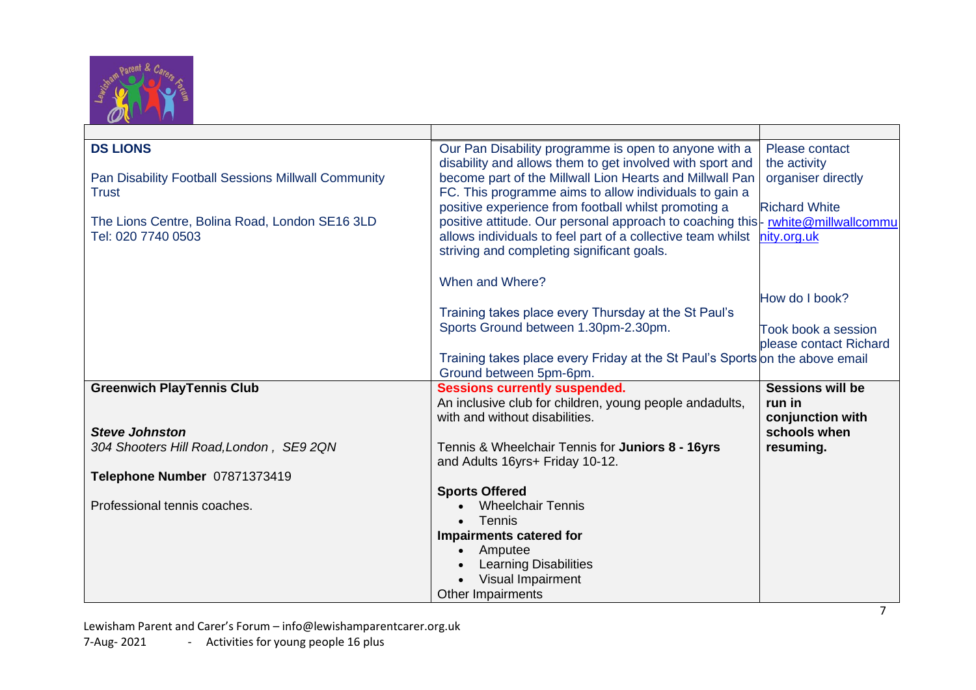

| <b>DS LIONS</b>                                     | Our Pan Disability programme is open to anyone with a<br>disability and allows them to get involved with sport and | Please contact<br>the activity |
|-----------------------------------------------------|--------------------------------------------------------------------------------------------------------------------|--------------------------------|
| Pan Disability Football Sessions Millwall Community | become part of the Millwall Lion Hearts and Millwall Pan                                                           | organiser directly             |
| <b>Trust</b>                                        | FC. This programme aims to allow individuals to gain a                                                             |                                |
|                                                     | positive experience from football whilst promoting a                                                               | <b>Richard White</b>           |
| The Lions Centre, Bolina Road, London SE16 3LD      | positive attitude. Our personal approach to coaching this- rwhite@millwallcommu                                    |                                |
| Tel: 020 7740 0503                                  | allows individuals to feel part of a collective team whilst                                                        | nity.org.uk                    |
|                                                     | striving and completing significant goals.                                                                         |                                |
|                                                     |                                                                                                                    |                                |
|                                                     | When and Where?                                                                                                    |                                |
|                                                     |                                                                                                                    | How do I book?                 |
|                                                     | Training takes place every Thursday at the St Paul's                                                               |                                |
|                                                     | Sports Ground between 1.30pm-2.30pm.                                                                               | Took book a session            |
|                                                     |                                                                                                                    | please contact Richard         |
|                                                     | Training takes place every Friday at the St Paul's Sports on the above email                                       |                                |
|                                                     | Ground between 5pm-6pm.                                                                                            |                                |
| <b>Greenwich PlayTennis Club</b>                    | <b>Sessions currently suspended.</b>                                                                               | <b>Sessions will be</b>        |
|                                                     | An inclusive club for children, young people andadults,                                                            | run in                         |
|                                                     | with and without disabilities.                                                                                     | conjunction with               |
| <b>Steve Johnston</b>                               |                                                                                                                    | schools when                   |
| 304 Shooters Hill Road, London, SE9 2QN             | Tennis & Wheelchair Tennis for Juniors 8 - 16yrs                                                                   | resuming.                      |
|                                                     | and Adults 16yrs+ Friday 10-12.                                                                                    |                                |
| Telephone Number 07871373419                        |                                                                                                                    |                                |
|                                                     | <b>Sports Offered</b>                                                                                              |                                |
| Professional tennis coaches.                        | <b>Wheelchair Tennis</b>                                                                                           |                                |
|                                                     | <b>Tennis</b>                                                                                                      |                                |
|                                                     | <b>Impairments catered for</b>                                                                                     |                                |
|                                                     | Amputee<br><b>Learning Disabilities</b>                                                                            |                                |
|                                                     | Visual Impairment                                                                                                  |                                |
|                                                     |                                                                                                                    |                                |
|                                                     | <b>Other Impairments</b>                                                                                           |                                |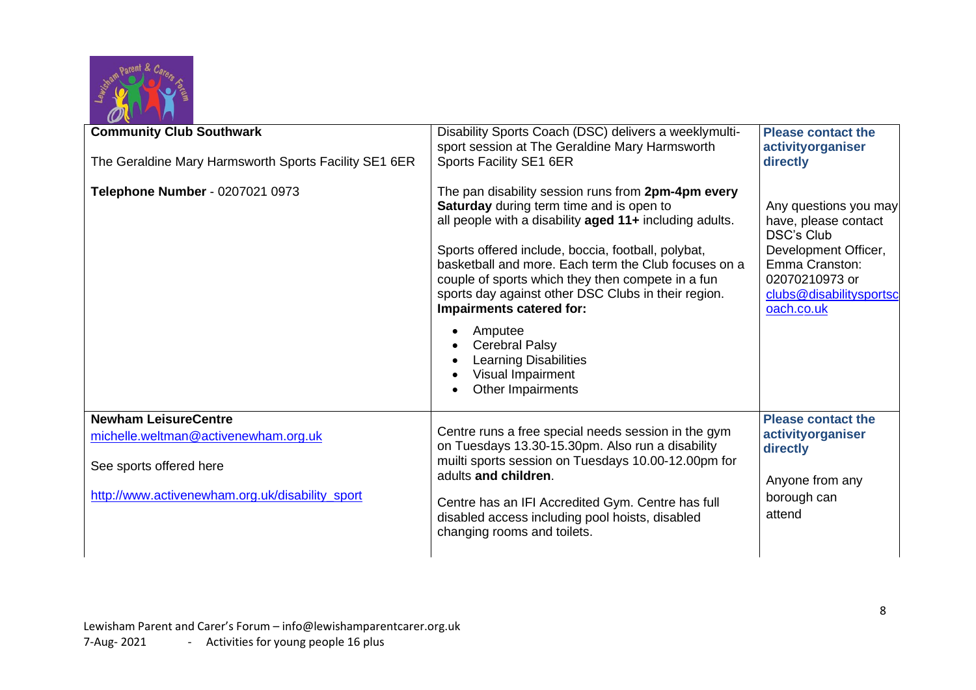

| <b>Community Club Southwark</b>                                                                                                                   | Disability Sports Coach (DSC) delivers a weeklymulti-<br>sport session at The Geraldine Mary Harmsworth                                                                                                                                                                                                                                                                                                                                                                                                                              | <b>Please contact the</b><br>activityorganiser                                                                                                                          |
|---------------------------------------------------------------------------------------------------------------------------------------------------|--------------------------------------------------------------------------------------------------------------------------------------------------------------------------------------------------------------------------------------------------------------------------------------------------------------------------------------------------------------------------------------------------------------------------------------------------------------------------------------------------------------------------------------|-------------------------------------------------------------------------------------------------------------------------------------------------------------------------|
| The Geraldine Mary Harmsworth Sports Facility SE1 6ER                                                                                             | Sports Facility SE1 6ER                                                                                                                                                                                                                                                                                                                                                                                                                                                                                                              | directly                                                                                                                                                                |
| Telephone Number - 0207021 0973                                                                                                                   | The pan disability session runs from 2pm-4pm every<br><b>Saturday</b> during term time and is open to<br>all people with a disability aged 11+ including adults.<br>Sports offered include, boccia, football, polybat,<br>basketball and more. Each term the Club focuses on a<br>couple of sports which they then compete in a fun<br>sports day against other DSC Clubs in their region.<br>Impairments catered for:<br>Amputee<br><b>Cerebral Palsy</b><br><b>Learning Disabilities</b><br>Visual Impairment<br>Other Impairments | Any questions you may<br>have, please contact<br><b>DSC's Club</b><br>Development Officer,<br>Emma Cranston:<br>02070210973 or<br>clubs@disabilitysportsc<br>oach.co.uk |
| <b>Newham LeisureCentre</b><br>michelle.weltman@activenewham.org.uk<br>See sports offered here<br>http://www.activenewham.org.uk/disability_sport | Centre runs a free special needs session in the gym<br>on Tuesdays 13.30-15.30pm. Also run a disability<br>muilti sports session on Tuesdays 10.00-12.00pm for<br>adults and children.<br>Centre has an IFI Accredited Gym. Centre has full<br>disabled access including pool hoists, disabled<br>changing rooms and toilets.                                                                                                                                                                                                        | <b>Please contact the</b><br>activityorganiser<br>directly<br>Anyone from any<br>borough can<br>attend                                                                  |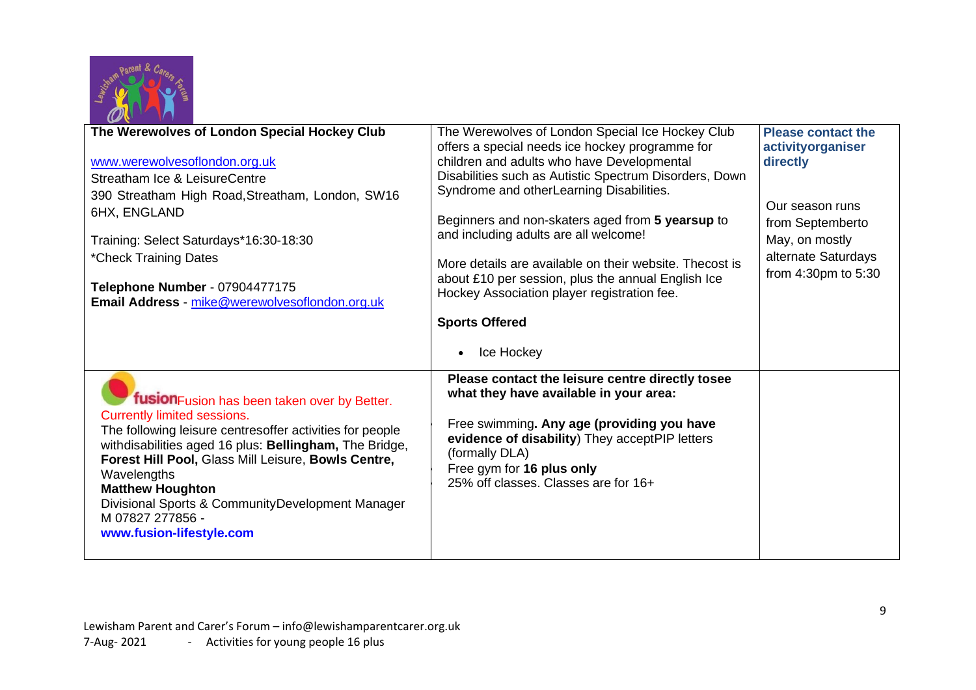

| $\boldsymbol{\omega}$                                                |                                                         |                           |
|----------------------------------------------------------------------|---------------------------------------------------------|---------------------------|
| The Werewolves of London Special Hockey Club                         | The Werewolves of London Special Ice Hockey Club        | <b>Please contact the</b> |
|                                                                      | offers a special needs ice hockey programme for         | activityorganiser         |
| www.werewolvesoflondon.org.uk                                        | children and adults who have Developmental              | directly                  |
| Streatham Ice & LeisureCentre                                        | Disabilities such as Autistic Spectrum Disorders, Down  |                           |
| 390 Streatham High Road, Streatham, London, SW16                     | Syndrome and otherLearning Disabilities.                |                           |
| 6HX, ENGLAND                                                         |                                                         | Our season runs           |
|                                                                      | Beginners and non-skaters aged from 5 yearsup to        | from Septemberto          |
| Training: Select Saturdays*16:30-18:30                               | and including adults are all welcome!                   | May, on mostly            |
| *Check Training Dates                                                |                                                         | alternate Saturdays       |
|                                                                      | More details are available on their website. Thecost is | from 4:30pm to 5:30       |
| Telephone Number - 07904477175                                       | about £10 per session, plus the annual English Ice      |                           |
| Email Address - mike@werewolvesoflondon.org.uk                       | Hockey Association player registration fee.             |                           |
|                                                                      | <b>Sports Offered</b>                                   |                           |
|                                                                      |                                                         |                           |
|                                                                      | Ice Hockey<br>$\bullet$                                 |                           |
|                                                                      |                                                         |                           |
|                                                                      | Please contact the leisure centre directly tosee        |                           |
| fusion Fusion has been taken over by Better.                         | what they have available in your area:                  |                           |
| Currently limited sessions.                                          |                                                         |                           |
| The following leisure centresoffer activities for people             | Free swimming. Any age (providing you have              |                           |
| withdisabilities aged 16 plus: Bellingham, The Bridge,               | evidence of disability) They acceptPIP letters          |                           |
| Forest Hill Pool, Glass Mill Leisure, Bowls Centre,                  | (formally DLA)                                          |                           |
|                                                                      |                                                         |                           |
|                                                                      | Free gym for 16 plus only                               |                           |
| Wavelengths                                                          | 25% off classes. Classes are for 16+                    |                           |
| <b>Matthew Houghton</b>                                              |                                                         |                           |
| Divisional Sports & CommunityDevelopment Manager<br>M 07827 277856 - |                                                         |                           |
| www.fusion-lifestyle.com                                             |                                                         |                           |
|                                                                      |                                                         |                           |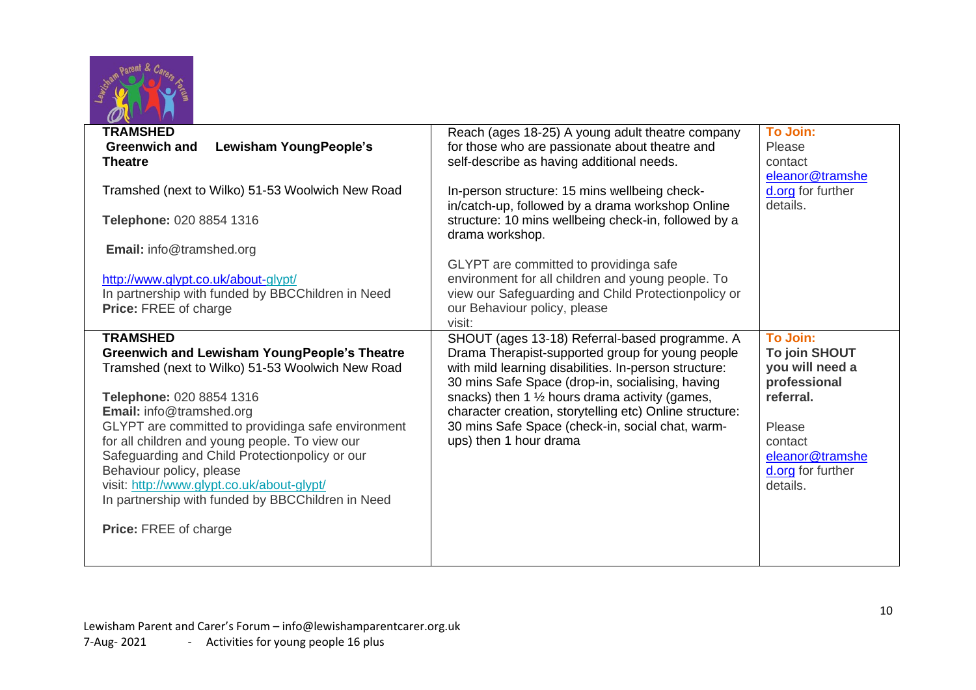

| $\mathbf{v}$<br>$\mathbf{u}$                                                                                      |                                                                                                                                                                                              |                                                         |
|-------------------------------------------------------------------------------------------------------------------|----------------------------------------------------------------------------------------------------------------------------------------------------------------------------------------------|---------------------------------------------------------|
| <b>TRAMSHED</b><br>Lewisham YoungPeople's<br><b>Greenwich and</b><br><b>Theatre</b>                               | Reach (ages 18-25) A young adult theatre company<br>for those who are passionate about theatre and<br>self-describe as having additional needs.                                              | <b>To Join:</b><br>Please<br>contact<br>eleanor@tramshe |
| Tramshed (next to Wilko) 51-53 Woolwich New Road<br>Telephone: 020 8854 1316                                      | In-person structure: 15 mins wellbeing check-<br>in/catch-up, followed by a drama workshop Online<br>structure: 10 mins wellbeing check-in, followed by a                                    | d.org for further<br>details.                           |
| Email: info@tramshed.org                                                                                          | drama workshop.                                                                                                                                                                              |                                                         |
| http://www.glypt.co.uk/about-glypt/<br>In partnership with funded by BBCChildren in Need<br>Price: FREE of charge | GLYPT are committed to providinga safe<br>environment for all children and young people. To<br>view our Safeguarding and Child Protectionpolicy or<br>our Behaviour policy, please<br>visit: |                                                         |
| <b>TRAMSHED</b>                                                                                                   | SHOUT (ages 13-18) Referral-based programme. A                                                                                                                                               | <b>To Join:</b>                                         |
| <b>Greenwich and Lewisham YoungPeople's Theatre</b><br>Tramshed (next to Wilko) 51-53 Woolwich New Road           | Drama Therapist-supported group for young people<br>with mild learning disabilities. In-person structure:<br>30 mins Safe Space (drop-in, socialising, having                                | To join SHOUT<br>you will need a<br>professional        |
| Telephone: 020 8854 1316<br>Email: info@tramshed.org                                                              | snacks) then 1 $\frac{1}{2}$ hours drama activity (games,<br>character creation, storytelling etc) Online structure:                                                                         | referral.                                               |
| GLYPT are committed to providinga safe environment                                                                | 30 mins Safe Space (check-in, social chat, warm-                                                                                                                                             | Please                                                  |
| for all children and young people. To view our<br>Safeguarding and Child Protectionpolicy or our                  | ups) then 1 hour drama                                                                                                                                                                       | contact<br>eleanor@tramshe                              |
| Behaviour policy, please<br>visit: http://www.glypt.co.uk/about-glypt/                                            |                                                                                                                                                                                              | d.org for further<br>details.                           |
| In partnership with funded by BBCChildren in Need                                                                 |                                                                                                                                                                                              |                                                         |
| <b>Price: FREE of charge</b>                                                                                      |                                                                                                                                                                                              |                                                         |
|                                                                                                                   |                                                                                                                                                                                              |                                                         |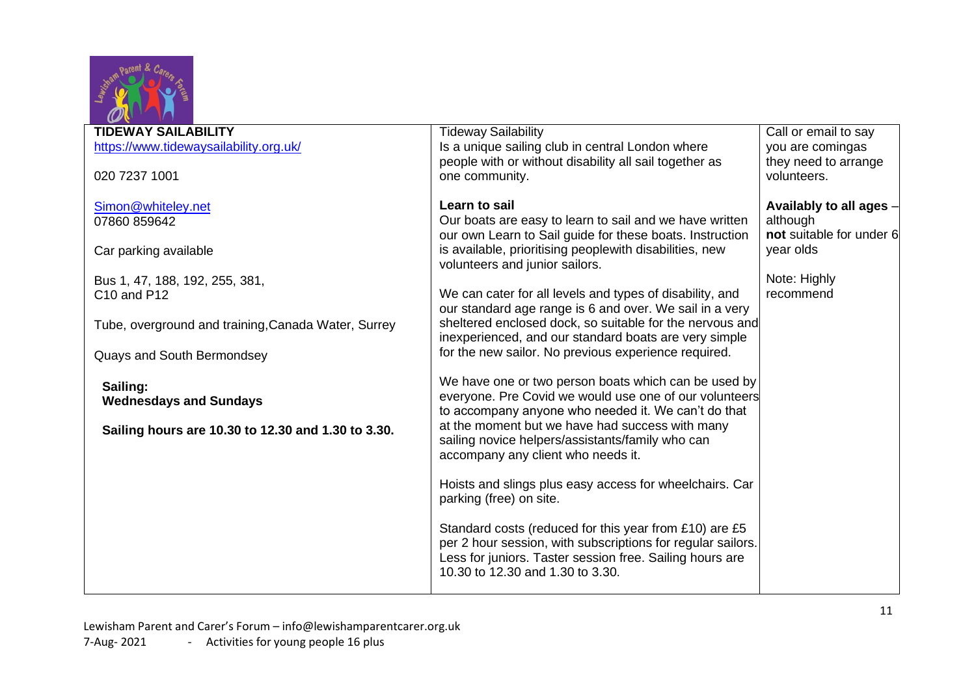

| <b>TIDEWAY SAILABILITY</b>                          | <b>Tideway Sailability</b>                                  | Call or email to say     |
|-----------------------------------------------------|-------------------------------------------------------------|--------------------------|
| https://www.tidewaysailability.org.uk/              | Is a unique sailing club in central London where            | you are comingas         |
|                                                     | people with or without disability all sail together as      | they need to arrange     |
| 020 7237 1001                                       | one community.                                              | volunteers.              |
|                                                     |                                                             |                          |
| Simon@whiteley.net                                  | Learn to sail                                               | Availably to all ages -  |
| 07860 859642                                        | Our boats are easy to learn to sail and we have written     | although                 |
|                                                     | our own Learn to Sail guide for these boats. Instruction    | not suitable for under 6 |
| Car parking available                               | is available, prioritising peoplewith disabilities, new     | year olds                |
|                                                     | volunteers and junior sailors.                              |                          |
| Bus 1, 47, 188, 192, 255, 381,                      |                                                             | Note: Highly             |
| C10 and P12                                         | We can cater for all levels and types of disability, and    | recommend                |
|                                                     | our standard age range is 6 and over. We sail in a very     |                          |
| Tube, overground and training, Canada Water, Surrey | sheltered enclosed dock, so suitable for the nervous and    |                          |
|                                                     | inexperienced, and our standard boats are very simple       |                          |
| <b>Quays and South Bermondsey</b>                   | for the new sailor. No previous experience required.        |                          |
|                                                     |                                                             |                          |
| Sailing:                                            | We have one or two person boats which can be used by        |                          |
| <b>Wednesdays and Sundays</b>                       | everyone. Pre Covid we would use one of our volunteers      |                          |
|                                                     | to accompany anyone who needed it. We can't do that         |                          |
| Sailing hours are 10.30 to 12.30 and 1.30 to 3.30.  | at the moment but we have had success with many             |                          |
|                                                     | sailing novice helpers/assistants/family who can            |                          |
|                                                     | accompany any client who needs it.                          |                          |
|                                                     |                                                             |                          |
|                                                     | Hoists and slings plus easy access for wheelchairs. Car     |                          |
|                                                     | parking (free) on site.                                     |                          |
|                                                     |                                                             |                          |
|                                                     | Standard costs (reduced for this year from £10) are £5      |                          |
|                                                     | per 2 hour session, with subscriptions for regular sailors. |                          |
|                                                     | Less for juniors. Taster session free. Sailing hours are    |                          |
|                                                     | 10.30 to 12.30 and 1.30 to 3.30.                            |                          |
|                                                     |                                                             |                          |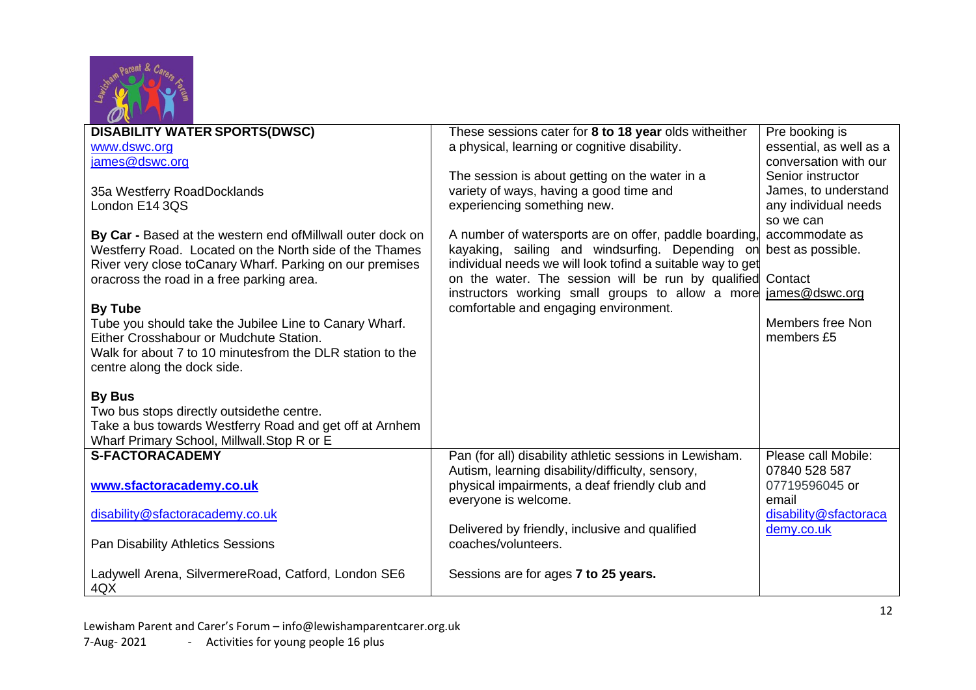

| <b>DISABILITY WATER SPORTS(DWSC)</b><br>These sessions cater for 8 to 18 year olds witheither<br>Pre booking is                        |  |
|----------------------------------------------------------------------------------------------------------------------------------------|--|
|                                                                                                                                        |  |
| a physical, learning or cognitive disability.<br>essential, as well as a<br>www.dswc.org                                               |  |
| james@dswc.org<br>conversation with our                                                                                                |  |
| The session is about getting on the water in a<br>Senior instructor                                                                    |  |
|                                                                                                                                        |  |
| variety of ways, having a good time and<br>James, to understand<br>35a Westferry RoadDocklands                                         |  |
| experiencing something new.<br>any individual needs<br>London E14 3QS                                                                  |  |
| so we can                                                                                                                              |  |
| A number of watersports are on offer, paddle boarding<br>accommodate as<br>By Car - Based at the western end of Millwall outer dock on |  |
| kayaking, sailing and windsurfing. Depending on<br>best as possible.<br>Westferry Road. Located on the North side of the Thames        |  |
| individual needs we will look tofind a suitable way to get<br>River very close toCanary Wharf. Parking on our premises                 |  |
| on the water. The session will be run by qualified<br>Contact                                                                          |  |
| oracross the road in a free parking area.                                                                                              |  |
| instructors working small groups to allow a more<br>james@dswc.org                                                                     |  |
| comfortable and engaging environment.<br><b>By Tube</b>                                                                                |  |
| Members free Non<br>Tube you should take the Jubilee Line to Canary Wharf.                                                             |  |
| members £5<br>Either Crosshabour or Mudchute Station.                                                                                  |  |
| Walk for about 7 to 10 minutesfrom the DLR station to the                                                                              |  |
| centre along the dock side.                                                                                                            |  |
|                                                                                                                                        |  |
| <b>By Bus</b>                                                                                                                          |  |
|                                                                                                                                        |  |
| Two bus stops directly outsidethe centre.                                                                                              |  |
| Take a bus towards Westferry Road and get off at Arnhem                                                                                |  |
| Wharf Primary School, Millwall. Stop R or E                                                                                            |  |
| <b>S-FACTORACADEMY</b><br>Pan (for all) disability athletic sessions in Lewisham.<br>Please call Mobile:                               |  |
| Autism, learning disability/difficulty, sensory,<br>07840 528 587                                                                      |  |
| physical impairments, a deaf friendly club and<br>www.sfactoracademy.co.uk<br>07719596045 or                                           |  |
| email                                                                                                                                  |  |
| everyone is welcome.                                                                                                                   |  |
|                                                                                                                                        |  |
| disability@sfactoracademy.co.uk<br>disability@sfactoraca                                                                               |  |
| Delivered by friendly, inclusive and qualified<br>demy.co.uk                                                                           |  |
| coaches/volunteers.<br><b>Pan Disability Athletics Sessions</b>                                                                        |  |
|                                                                                                                                        |  |
| Ladywell Arena, SilvermereRoad, Catford, London SE6<br>Sessions are for ages 7 to 25 years.                                            |  |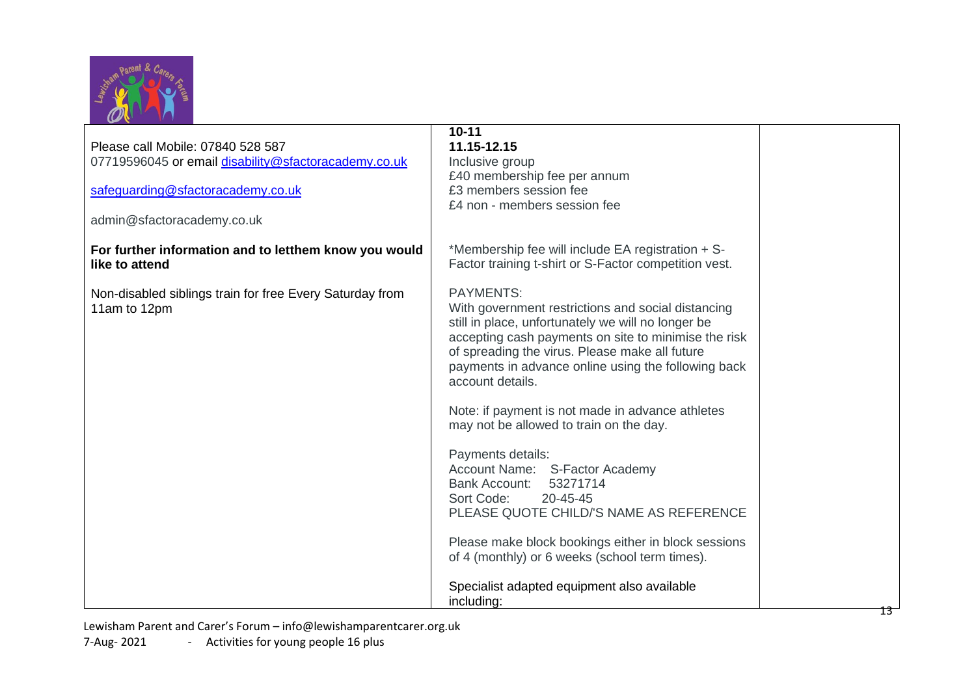

| Please call Mobile: 07840 528 587<br>07719596045 or email disability@sfactoracademy.co.uk<br>safeguarding@sfactoracademy.co.uk<br>admin@sfactoracademy.co.uk | $10 - 11$<br>11.15-12.15<br>Inclusive group<br>£40 membership fee per annum<br>£3 members session fee<br>£4 non - members session fee                                                                                                                                                                             |  |
|--------------------------------------------------------------------------------------------------------------------------------------------------------------|-------------------------------------------------------------------------------------------------------------------------------------------------------------------------------------------------------------------------------------------------------------------------------------------------------------------|--|
| For further information and to letthem know you would<br>like to attend                                                                                      | *Membership fee will include EA registration + S-<br>Factor training t-shirt or S-Factor competition vest.                                                                                                                                                                                                        |  |
| Non-disabled siblings train for free Every Saturday from<br>11am to 12pm                                                                                     | <b>PAYMENTS:</b><br>With government restrictions and social distancing<br>still in place, unfortunately we will no longer be<br>accepting cash payments on site to minimise the risk<br>of spreading the virus. Please make all future<br>payments in advance online using the following back<br>account details. |  |
|                                                                                                                                                              | Note: if payment is not made in advance athletes<br>may not be allowed to train on the day.                                                                                                                                                                                                                       |  |
|                                                                                                                                                              | Payments details:<br>Account Name: S-Factor Academy<br><b>Bank Account:</b><br>53271714<br>Sort Code:<br>20-45-45<br>PLEASE QUOTE CHILD/'S NAME AS REFERENCE                                                                                                                                                      |  |
|                                                                                                                                                              | Please make block bookings either in block sessions<br>of 4 (monthly) or 6 weeks (school term times).                                                                                                                                                                                                             |  |
|                                                                                                                                                              | Specialist adapted equipment also available<br>including:                                                                                                                                                                                                                                                         |  |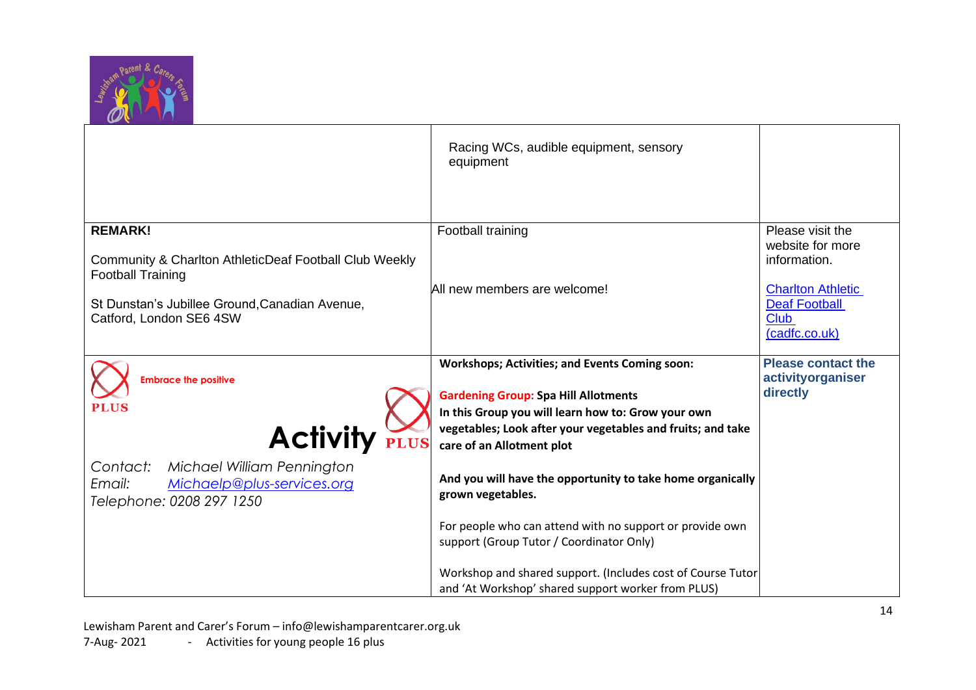

|                                                        | Racing WCs, audible equipment, sensory<br>equipment                                                               |                                                  |
|--------------------------------------------------------|-------------------------------------------------------------------------------------------------------------------|--------------------------------------------------|
|                                                        |                                                                                                                   |                                                  |
| <b>REMARK!</b>                                         | Football training                                                                                                 | Please visit the<br>website for more             |
|                                                        |                                                                                                                   | information.                                     |
| Community & Charlton AthleticDeaf Football Club Weekly |                                                                                                                   |                                                  |
| <b>Football Training</b>                               |                                                                                                                   |                                                  |
|                                                        | All new members are welcome!                                                                                      | <b>Charlton Athletic</b><br><b>Deaf Football</b> |
| St Dunstan's Jubillee Ground, Canadian Avenue,         |                                                                                                                   | <b>Club</b>                                      |
| Catford, London SE6 4SW                                |                                                                                                                   |                                                  |
|                                                        |                                                                                                                   | (cadfc.co.uk)                                    |
|                                                        |                                                                                                                   | <b>Please contact the</b>                        |
|                                                        | <b>Workshops; Activities; and Events Coming soon:</b>                                                             |                                                  |
| <b>Embrace the positive</b>                            |                                                                                                                   | activityorganiser                                |
| <b>PLUS</b>                                            | <b>Gardening Group: Spa Hill Allotments</b>                                                                       | directly                                         |
|                                                        | In this Group you will learn how to: Grow your own                                                                |                                                  |
|                                                        | vegetables; Look after your vegetables and fruits; and take                                                       |                                                  |
| <b>Activity</b>                                        | care of an Allotment plot                                                                                         |                                                  |
|                                                        |                                                                                                                   |                                                  |
| Michael William Pennington<br>Contact:                 | And you will have the opportunity to take home organically                                                        |                                                  |
| Michaelp@plus-services.org<br>Email:                   | grown vegetables.                                                                                                 |                                                  |
| Telephone: 0208 297 1250                               |                                                                                                                   |                                                  |
|                                                        |                                                                                                                   |                                                  |
|                                                        | For people who can attend with no support or provide own                                                          |                                                  |
|                                                        | support (Group Tutor / Coordinator Only)                                                                          |                                                  |
|                                                        |                                                                                                                   |                                                  |
|                                                        |                                                                                                                   |                                                  |
|                                                        | Workshop and shared support. (Includes cost of Course Tutor<br>and 'At Workshop' shared support worker from PLUS) |                                                  |

Lewisham Parent and Carer's Forum – [info@lewishamparentcarer.org.uk](mailto:info@lewishamparentcarer.org.uk) 7-Aug- 2021 - Activities for young people 16 plus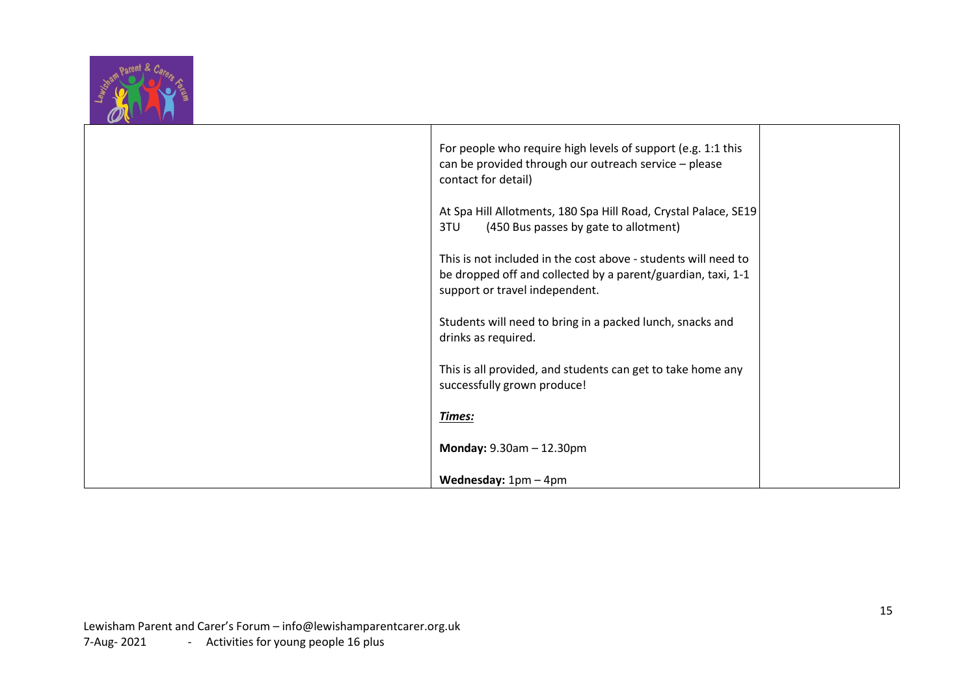

|  | For people who require high levels of support (e.g. 1:1 this<br>can be provided through our outreach service - please<br>contact for detail)                     |  |
|--|------------------------------------------------------------------------------------------------------------------------------------------------------------------|--|
|  | At Spa Hill Allotments, 180 Spa Hill Road, Crystal Palace, SE19<br>(450 Bus passes by gate to allotment)<br>3TU                                                  |  |
|  | This is not included in the cost above - students will need to<br>be dropped off and collected by a parent/guardian, taxi, 1-1<br>support or travel independent. |  |
|  | Students will need to bring in a packed lunch, snacks and<br>drinks as required.                                                                                 |  |
|  | This is all provided, and students can get to take home any<br>successfully grown produce!                                                                       |  |
|  | Times:                                                                                                                                                           |  |
|  | Monday: 9.30am - 12.30pm                                                                                                                                         |  |
|  | <b>Wednesday:</b> $1pm - 4pm$                                                                                                                                    |  |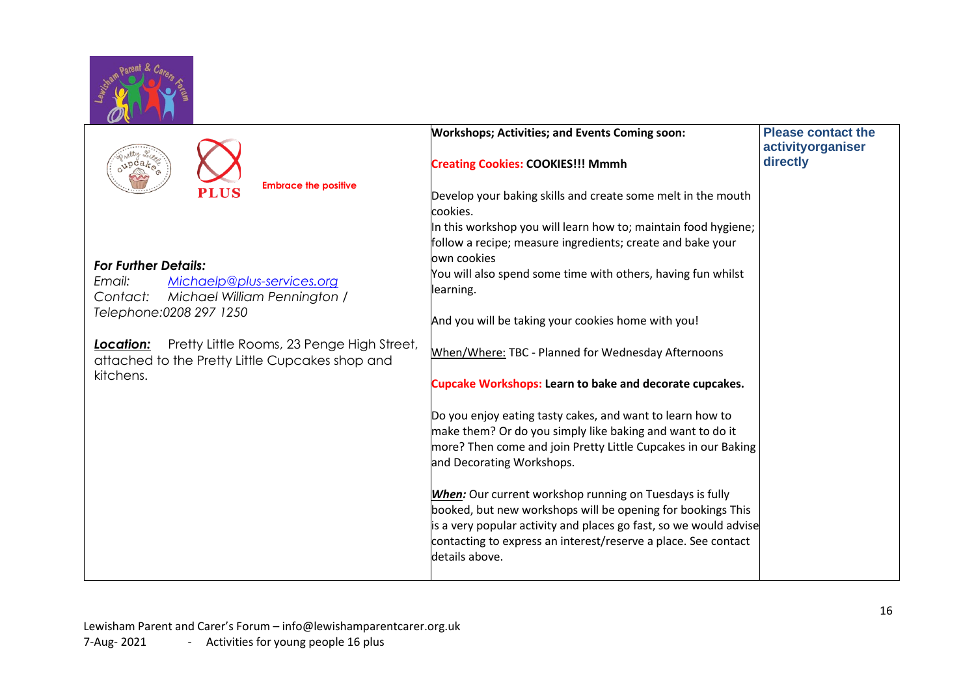

| $p$ ca $k_{\mathcal{O}_\mathbf{D}^\mathcal{C}}$                                                            | <b>Workshops; Activities; and Events Coming soon:</b><br><b>Creating Cookies: COOKIES!!! Mmmh</b>                                                                                                                                                                                      | <b>Please contact the</b><br>activityorganiser<br>directly |
|------------------------------------------------------------------------------------------------------------|----------------------------------------------------------------------------------------------------------------------------------------------------------------------------------------------------------------------------------------------------------------------------------------|------------------------------------------------------------|
| <b>Embrace the positive</b><br>PLUS                                                                        | Develop your baking skills and create some melt in the mouth<br>cookies.                                                                                                                                                                                                               |                                                            |
| <b>For Further Details:</b>                                                                                | In this workshop you will learn how to; maintain food hygiene;<br>follow a recipe; measure ingredients; create and bake your<br>lown cookies                                                                                                                                           |                                                            |
| Michaelp@plus-services.org<br>Email:<br>Michael William Pennington /<br>Contact:                           | You will also spend some time with others, having fun whilst<br>learning.                                                                                                                                                                                                              |                                                            |
| Telephone: 0208 297 1250                                                                                   | And you will be taking your cookies home with you!                                                                                                                                                                                                                                     |                                                            |
| Pretty Little Rooms, 23 Penge High Street,<br>Location:<br>attached to the Pretty Little Cupcakes shop and | When/Where: TBC - Planned for Wednesday Afternoons                                                                                                                                                                                                                                     |                                                            |
| kitchens.                                                                                                  | <b>Cupcake Workshops: Learn to bake and decorate cupcakes.</b>                                                                                                                                                                                                                         |                                                            |
|                                                                                                            | Do you enjoy eating tasty cakes, and want to learn how to<br>make them? Or do you simply like baking and want to do it<br>more? Then come and join Pretty Little Cupcakes in our Baking<br>and Decorating Workshops.                                                                   |                                                            |
|                                                                                                            | <b>When:</b> Our current workshop running on Tuesdays is fully<br>booked, but new workshops will be opening for bookings This<br>is a very popular activity and places go fast, so we would advise<br>contacting to express an interest/reserve a place. See contact<br>details above. |                                                            |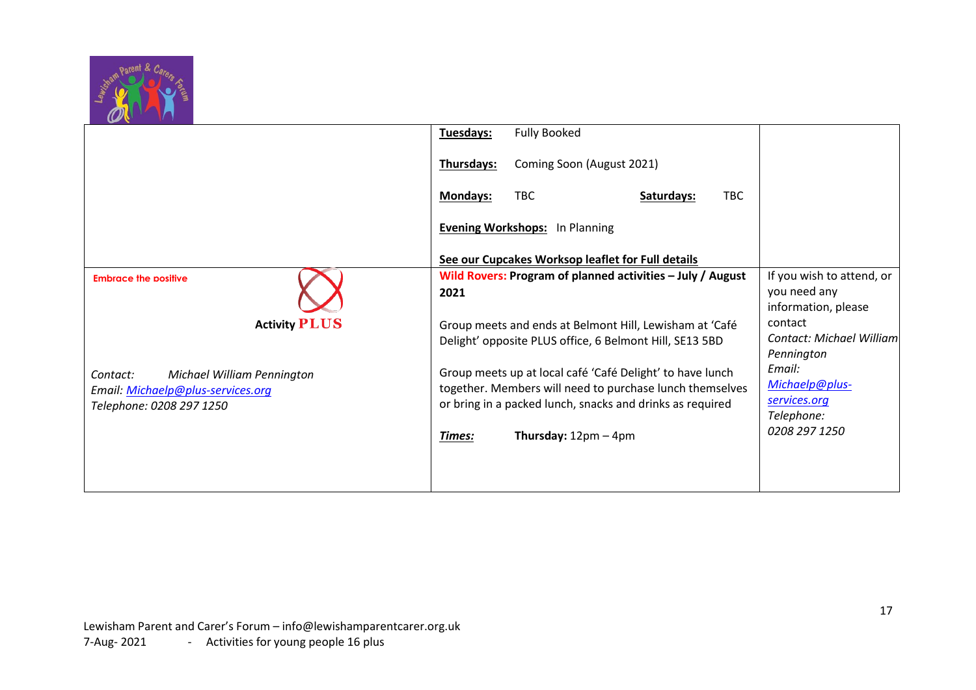

|                                                                                                         | <b>Fully Booked</b><br>Tuesdays:                                                                                                                                                   |                                                                  |
|---------------------------------------------------------------------------------------------------------|------------------------------------------------------------------------------------------------------------------------------------------------------------------------------------|------------------------------------------------------------------|
|                                                                                                         | Thursdays:<br>Coming Soon (August 2021)                                                                                                                                            |                                                                  |
|                                                                                                         | <b>TBC</b><br>TBC<br>Mondays:<br>Saturdays:                                                                                                                                        |                                                                  |
|                                                                                                         | <b>Evening Workshops:</b> In Planning                                                                                                                                              |                                                                  |
|                                                                                                         | See our Cupcakes Worksop leaflet for Full details                                                                                                                                  |                                                                  |
| <b>Embrace the positive</b>                                                                             | Wild Rovers: Program of planned activities – July / August<br>2021                                                                                                                 | If you wish to attend, or<br>you need any<br>information, please |
| <b>Activity PLUS</b>                                                                                    | Group meets and ends at Belmont Hill, Lewisham at 'Café<br>Delight' opposite PLUS office, 6 Belmont Hill, SE13 5BD                                                                 | contact<br>Contact: Michael William<br>Pennington                |
| Michael William Pennington<br>Contact:<br>Email: Michaelp@plus-services.org<br>Telephone: 0208 297 1250 | Group meets up at local café 'Café Delight' to have lunch<br>together. Members will need to purchase lunch themselves<br>or bring in a packed lunch, snacks and drinks as required | Email:<br>Michaelp@plus-<br>services.org<br>Telephone:           |
|                                                                                                         | <b>Thursday:</b> $12 \text{pm} - 4 \text{pm}$<br>Times:                                                                                                                            | 0208 297 1250                                                    |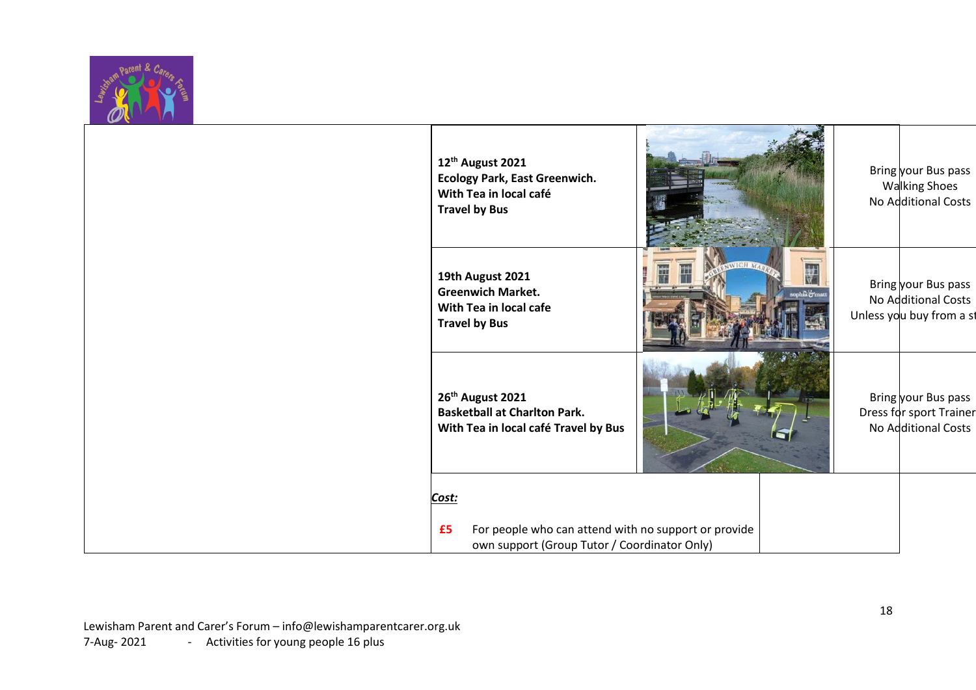

| 12th August 2021<br><b>Ecology Park, East Greenwich.</b><br>With Tea in local café<br><b>Travel by Bus</b>          |         | Bring your Bus pass<br><b>Walking Shoes</b><br>No Additional Costs     |
|---------------------------------------------------------------------------------------------------------------------|---------|------------------------------------------------------------------------|
| 19th August 2021<br><b>Greenwich Market.</b><br>With Tea in local cafe<br><b>Travel by Bus</b>                      | WICH MA | Bring your Bus pass<br>No Additional Costs<br>Unless you buy from a st |
| 26 <sup>th</sup> August 2021<br><b>Basketball at Charlton Park.</b><br>With Tea in local café Travel by Bus         |         | Bring your Bus pass<br>Dress for sport Trainer<br>No Additional Costs  |
| Cost:<br>For people who can attend with no support or provide<br>£5<br>own support (Group Tutor / Coordinator Only) |         |                                                                        |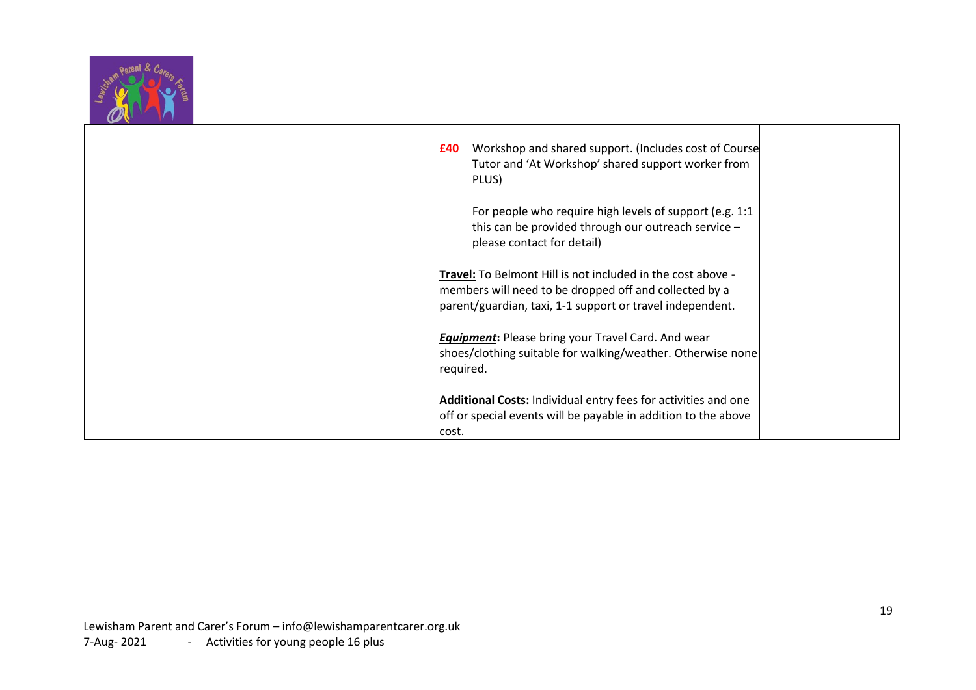

| Workshop and shared support. (Includes cost of Course<br>£40<br>Tutor and 'At Workshop' shared support worker from<br>PLUS)                                                        |
|------------------------------------------------------------------------------------------------------------------------------------------------------------------------------------|
| For people who require high levels of support (e.g. 1:1)<br>this can be provided through our outreach service -<br>please contact for detail)                                      |
| Travel: To Belmont Hill is not included in the cost above -<br>members will need to be dropped off and collected by a<br>parent/guardian, taxi, 1-1 support or travel independent. |
| <b>Equipment:</b> Please bring your Travel Card. And wear<br>shoes/clothing suitable for walking/weather. Otherwise none<br>required.                                              |
| <b>Additional Costs:</b> Individual entry fees for activities and one<br>off or special events will be payable in addition to the above<br>cost.                                   |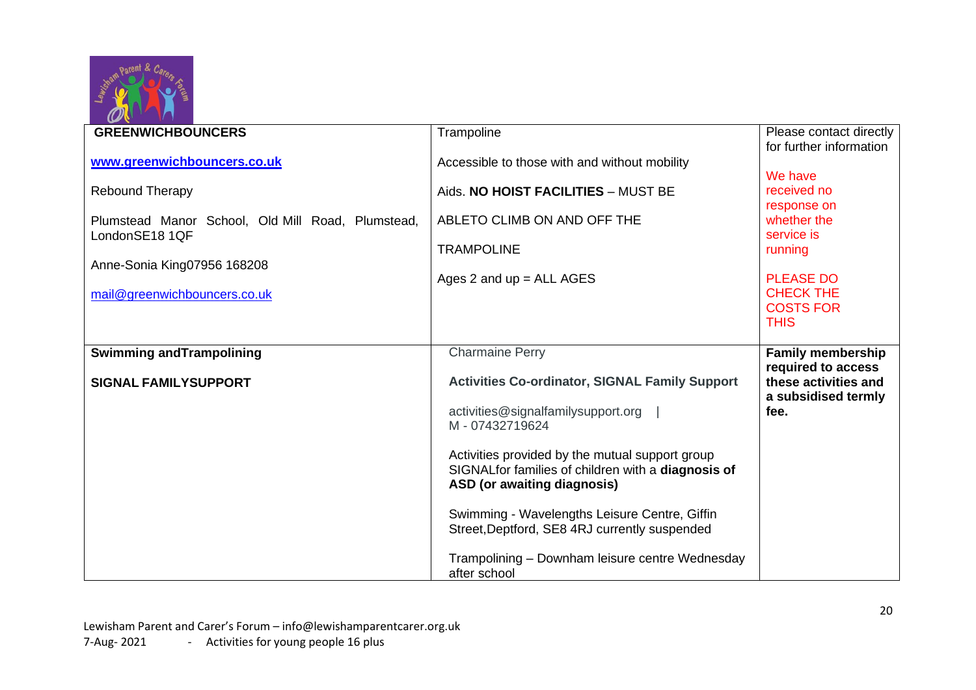

| <b>GREENWICHBOUNCERS</b>                                            |                                                                                                                                      |                                                    |
|---------------------------------------------------------------------|--------------------------------------------------------------------------------------------------------------------------------------|----------------------------------------------------|
|                                                                     | Trampoline                                                                                                                           | Please contact directly<br>for further information |
| www.greenwichbouncers.co.uk                                         | Accessible to those with and without mobility                                                                                        | We have                                            |
| <b>Rebound Therapy</b>                                              | Aids. NO HOIST FACILITIES - MUST BE                                                                                                  | received no<br>response on                         |
| Plumstead Manor School, Old Mill Road, Plumstead,<br>LondonSE18 1QF | ABLETO CLIMB ON AND OFF THE                                                                                                          | whether the<br>service is                          |
| Anne-Sonia King07956 168208                                         | <b>TRAMPOLINE</b>                                                                                                                    | running                                            |
| mail@greenwichbouncers.co.uk                                        | Ages 2 and $up = ALL AGES$                                                                                                           | <b>PLEASE DO</b><br><b>CHECK THE</b>               |
|                                                                     |                                                                                                                                      | <b>COSTS FOR</b><br><b>THIS</b>                    |
|                                                                     |                                                                                                                                      |                                                    |
| <b>Swimming and Trampolining</b>                                    | <b>Charmaine Perry</b>                                                                                                               | <b>Family membership</b>                           |
| <b>SIGNAL FAMILYSUPPORT</b>                                         | <b>Activities Co-ordinator, SIGNAL Family Support</b>                                                                                | required to access<br>these activities and         |
|                                                                     | activities@signalfamilysupport.org<br>M - 07432719624                                                                                | a subsidised termly<br>fee.                        |
|                                                                     | Activities provided by the mutual support group<br>SIGNALfor families of children with a diagnosis of<br>ASD (or awaiting diagnosis) |                                                    |
|                                                                     | Swimming - Wavelengths Leisure Centre, Giffin<br>Street, Deptford, SE8 4RJ currently suspended                                       |                                                    |
|                                                                     | Trampolining - Downham leisure centre Wednesday<br>after school                                                                      |                                                    |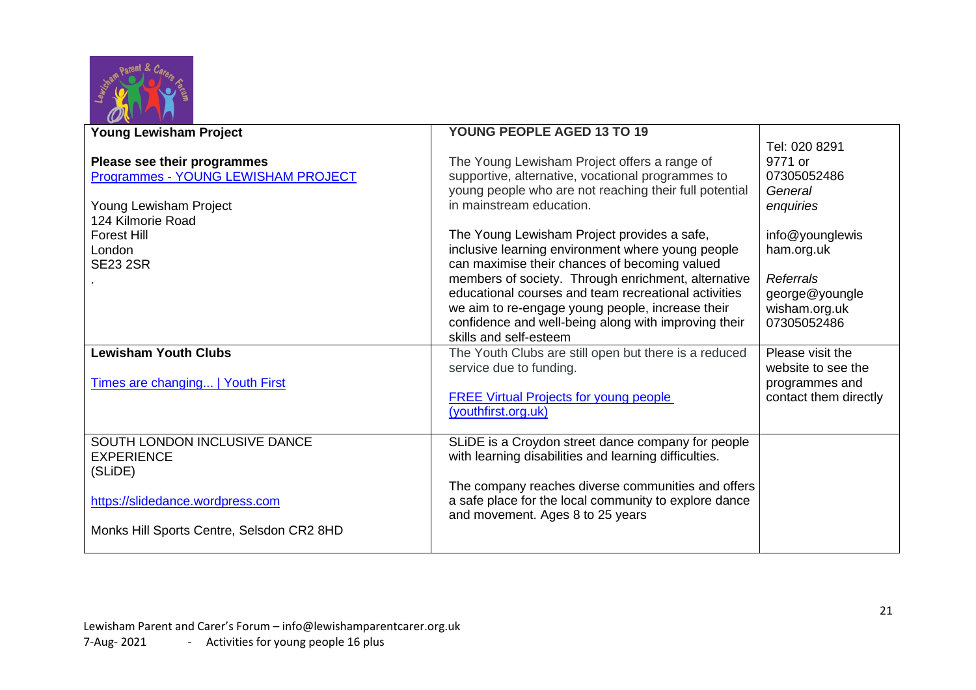

| <b>Young Lewisham Project</b>                                                                                     | YOUNG PEOPLE AGED 13 TO 19                                                                                                                                                                                                                                                                         |                                                                 |
|-------------------------------------------------------------------------------------------------------------------|----------------------------------------------------------------------------------------------------------------------------------------------------------------------------------------------------------------------------------------------------------------------------------------------------|-----------------------------------------------------------------|
| Please see their programmes<br>Programmes - YOUNG LEWISHAM PROJECT<br>Young Lewisham Project<br>124 Kilmorie Road | The Young Lewisham Project offers a range of<br>supportive, alternative, vocational programmes to<br>young people who are not reaching their full potential<br>in mainstream education.                                                                                                            | Tel: 020 8291<br>9771 or<br>07305052486<br>General<br>enquiries |
| <b>Forest Hill</b><br>London                                                                                      | The Young Lewisham Project provides a safe,<br>inclusive learning environment where young people                                                                                                                                                                                                   | info@younglewis<br>ham.org.uk                                   |
| <b>SE23 2SR</b>                                                                                                   | can maximise their chances of becoming valued<br>members of society. Through enrichment, alternative<br>educational courses and team recreational activities<br>we aim to re-engage young people, increase their<br>confidence and well-being along with improving their<br>skills and self-esteem | Referrals<br>george@youngle<br>wisham.org.uk<br>07305052486     |
| <b>Lewisham Youth Clubs</b>                                                                                       | The Youth Clubs are still open but there is a reduced<br>service due to funding.                                                                                                                                                                                                                   | Please visit the<br>website to see the                          |
| Times are changing   Youth First                                                                                  | <b>FREE Virtual Projects for young people</b><br>(youthfirst.org.uk)                                                                                                                                                                                                                               | programmes and<br>contact them directly                         |
| SOUTH LONDON INCLUSIVE DANCE<br><b>EXPERIENCE</b><br>(SLiDE)                                                      | SLIDE is a Croydon street dance company for people<br>with learning disabilities and learning difficulties.                                                                                                                                                                                        |                                                                 |
| https://slidedance.wordpress.com                                                                                  | The company reaches diverse communities and offers<br>a safe place for the local community to explore dance<br>and movement. Ages 8 to 25 years                                                                                                                                                    |                                                                 |
| Monks Hill Sports Centre, Selsdon CR2 8HD                                                                         |                                                                                                                                                                                                                                                                                                    |                                                                 |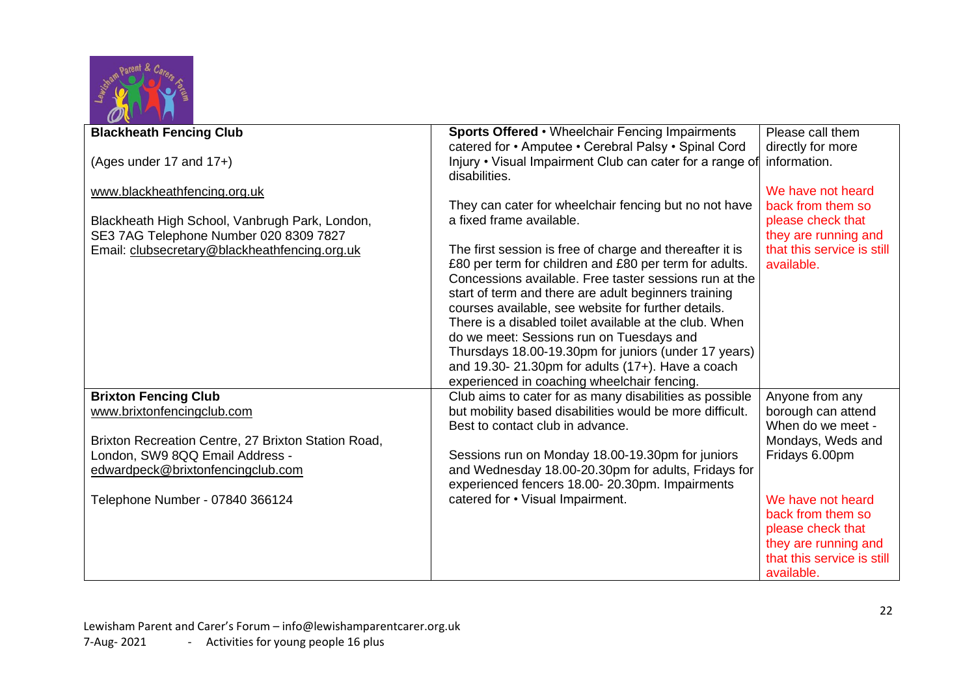

| <b>Blackheath Fencing Club</b>                            | Sports Offered • Wheelchair Fencing Impairments                                                    | Please call them                      |
|-----------------------------------------------------------|----------------------------------------------------------------------------------------------------|---------------------------------------|
|                                                           | catered for • Amputee • Cerebral Palsy • Spinal Cord                                               | directly for more                     |
| (Ages under 17 and 17+)                                   | Injury • Visual Impairment Club can cater for a range of                                           | information.                          |
|                                                           | disabilities.                                                                                      |                                       |
| www.blackheathfencing.org.uk                              |                                                                                                    | We have not heard                     |
|                                                           | They can cater for wheelchair fencing but no not have                                              | back from them so                     |
| Blackheath High School, Vanbrugh Park, London,            | a fixed frame available.                                                                           | please check that                     |
| SE3 7AG Telephone Number 020 8309 7827                    |                                                                                                    | they are running and                  |
| Email: clubsecretary@blackheathfencing.org.uk             | The first session is free of charge and thereafter it is                                           | that this service is still            |
|                                                           | £80 per term for children and £80 per term for adults.                                             | available.                            |
|                                                           | Concessions available. Free taster sessions run at the                                             |                                       |
|                                                           | start of term and there are adult beginners training                                               |                                       |
|                                                           | courses available, see website for further details.                                                |                                       |
|                                                           | There is a disabled toilet available at the club. When                                             |                                       |
|                                                           | do we meet: Sessions run on Tuesdays and                                                           |                                       |
|                                                           | Thursdays 18.00-19.30pm for juniors (under 17 years)                                               |                                       |
|                                                           | and 19.30-21.30pm for adults $(17+)$ . Have a coach<br>experienced in coaching wheelchair fencing. |                                       |
|                                                           | Club aims to cater for as many disabilities as possible                                            |                                       |
| <b>Brixton Fencing Club</b><br>www.brixtonfencingclub.com | but mobility based disabilities would be more difficult.                                           | Anyone from any<br>borough can attend |
|                                                           | Best to contact club in advance.                                                                   | When do we meet -                     |
| Brixton Recreation Centre, 27 Brixton Station Road,       |                                                                                                    | Mondays, Weds and                     |
| London, SW9 8QQ Email Address -                           | Sessions run on Monday 18.00-19.30pm for juniors                                                   | Fridays 6.00pm                        |
| edwardpeck@brixtonfencingclub.com                         | and Wednesday 18.00-20.30pm for adults, Fridays for                                                |                                       |
|                                                           | experienced fencers 18.00-20.30pm. Impairments                                                     |                                       |
| Telephone Number - 07840 366124                           | catered for • Visual Impairment.                                                                   | We have not heard                     |
|                                                           |                                                                                                    | back from them so                     |
|                                                           |                                                                                                    | please check that                     |
|                                                           |                                                                                                    | they are running and                  |
|                                                           |                                                                                                    | that this service is still            |
|                                                           |                                                                                                    | available.                            |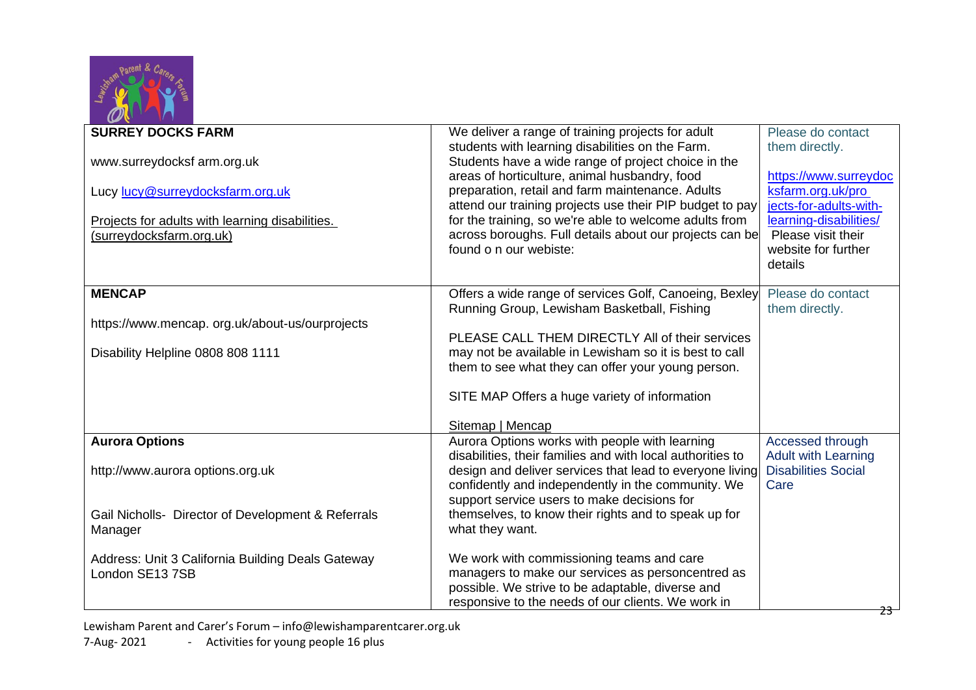

| <b>SURREY DOCKS FARM</b>                           | We deliver a range of training projects for adult          | Please do contact          |
|----------------------------------------------------|------------------------------------------------------------|----------------------------|
|                                                    | students with learning disabilities on the Farm.           | them directly.             |
| www.surreydocksf arm.org.uk                        | Students have a wide range of project choice in the        |                            |
|                                                    | areas of horticulture, animal husbandry, food              | https://www.surreydoc      |
|                                                    | preparation, retail and farm maintenance. Adults           | ksfarm.org.uk/pro          |
| Lucy lucy@surreydocksfarm.org.uk                   | attend our training projects use their PIP budget to pay   | jects-for-adults-with-     |
|                                                    | for the training, so we're able to welcome adults from     | learning-disabilities/     |
| Projects for adults with learning disabilities.    | across boroughs. Full details about our projects can be    | Please visit their         |
| (surreydocksfarm.org.uk)                           | found o n our webiste:                                     | website for further        |
|                                                    |                                                            |                            |
|                                                    |                                                            | details                    |
| <b>MENCAP</b>                                      | Offers a wide range of services Golf, Canoeing, Bexley     | Please do contact          |
|                                                    | Running Group, Lewisham Basketball, Fishing                | them directly.             |
| https://www.mencap.org.uk/about-us/ourprojects     |                                                            |                            |
|                                                    | PLEASE CALL THEM DIRECTLY All of their services            |                            |
| Disability Helpline 0808 808 1111                  | may not be available in Lewisham so it is best to call     |                            |
|                                                    | them to see what they can offer your young person.         |                            |
|                                                    |                                                            |                            |
|                                                    | SITE MAP Offers a huge variety of information              |                            |
|                                                    |                                                            |                            |
|                                                    | Sitemap   Mencap                                           |                            |
| <b>Aurora Options</b>                              | Aurora Options works with people with learning             | Accessed through           |
|                                                    | disabilities, their families and with local authorities to | <b>Adult with Learning</b> |
| http://www.aurora options.org.uk                   | design and deliver services that lead to everyone living   | <b>Disabilities Social</b> |
|                                                    | confidently and independently in the community. We         | Care                       |
|                                                    | support service users to make decisions for                |                            |
| Gail Nicholls- Director of Development & Referrals | themselves, to know their rights and to speak up for       |                            |
| Manager                                            | what they want.                                            |                            |
|                                                    |                                                            |                            |
| Address: Unit 3 California Building Deals Gateway  | We work with commissioning teams and care                  |                            |
| London SE13 7SB                                    | managers to make our services as personcentred as          |                            |
|                                                    | possible. We strive to be adaptable, diverse and           |                            |
|                                                    | responsive to the needs of our clients. We work in         |                            |
|                                                    |                                                            | 23                         |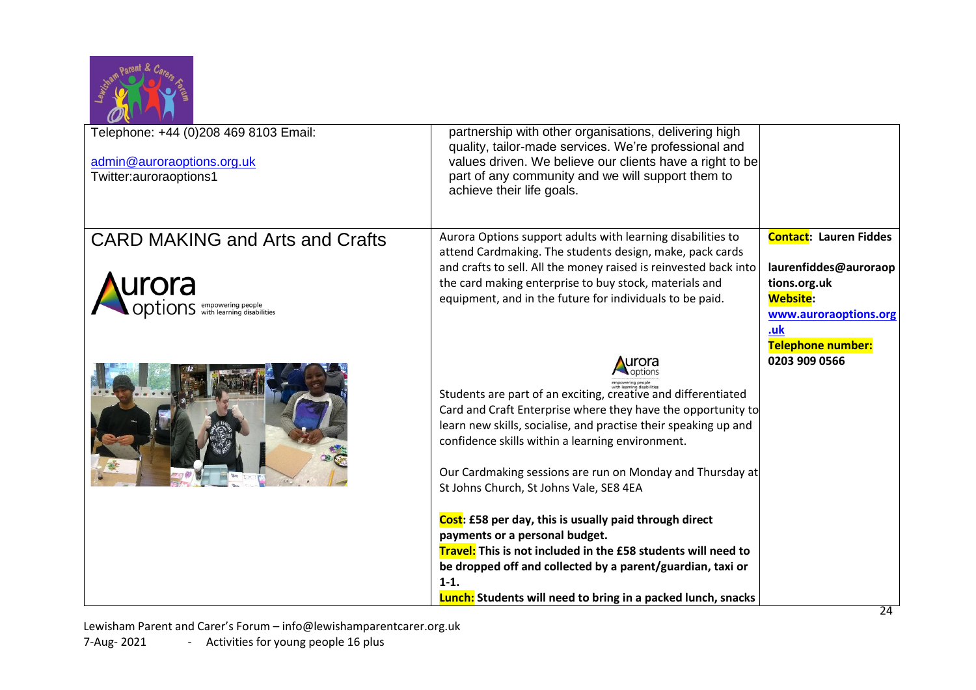

| Telephone: +44 (0)208 469 8103 Email:<br>admin@auroraoptions.org.uk<br>Twitter:auroraoptions1 | partnership with other organisations, delivering high<br>quality, tailor-made services. We're professional and<br>values driven. We believe our clients have a right to be<br>part of any community and we will support them to<br>achieve their life goals.                                                                                                          |                                                                                                                                                       |
|-----------------------------------------------------------------------------------------------|-----------------------------------------------------------------------------------------------------------------------------------------------------------------------------------------------------------------------------------------------------------------------------------------------------------------------------------------------------------------------|-------------------------------------------------------------------------------------------------------------------------------------------------------|
| <b>CARD MAKING and Arts and Crafts</b><br><b>Urora</b><br><b>Options</b> empowering people    | Aurora Options support adults with learning disabilities to<br>attend Cardmaking. The students design, make, pack cards<br>and crafts to sell. All the money raised is reinvested back into<br>the card making enterprise to buy stock, materials and<br>equipment, and in the future for individuals to be paid.                                                     | <b>Contact: Lauren Fiddes</b><br>laurenfiddes@auroraop<br>tions.org.uk<br><b>Website:</b><br>www.auroraoptions.org<br>.uk<br><b>Telephone number:</b> |
|                                                                                               | urora<br>Students are part of an exciting, creative and differentiated<br>Card and Craft Enterprise where they have the opportunity to<br>learn new skills, socialise, and practise their speaking up and<br>confidence skills within a learning environment.<br>Our Cardmaking sessions are run on Monday and Thursday at<br>St Johns Church, St Johns Vale, SE8 4EA | 0203 909 0566                                                                                                                                         |
|                                                                                               | Cost: £58 per day, this is usually paid through direct<br>payments or a personal budget.<br>Travel: This is not included in the £58 students will need to<br>be dropped off and collected by a parent/guardian, taxi or<br>$1-1.$<br><b>Lunch:</b> Students will need to bring in a packed lunch, snacks                                                              |                                                                                                                                                       |

Lewisham Parent and Carer's Forum – [info@lewishamparentcarer.org.uk](mailto:info@lewishamparentcarer.org.uk) 7-Aug- 2021 - Activities for young people 16 plus